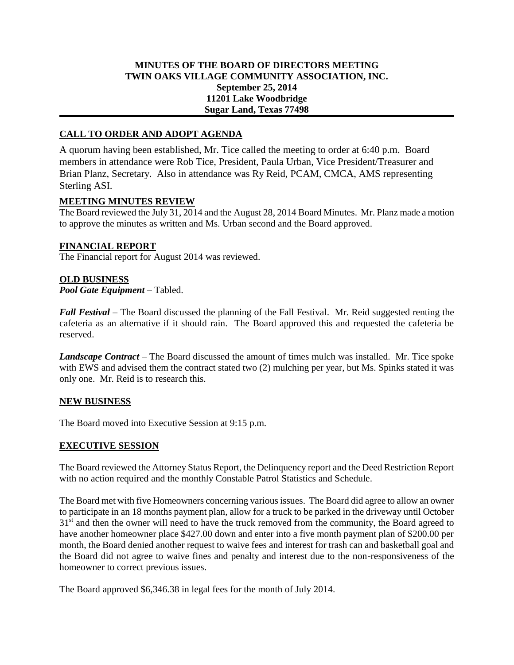# **MINUTES OF THE BOARD OF DIRECTORS MEETING TWIN OAKS VILLAGE COMMUNITY ASSOCIATION, INC. September 25, 2014 11201 Lake Woodbridge Sugar Land, Texas 77498**

# **CALL TO ORDER AND ADOPT AGENDA**

A quorum having been established, Mr. Tice called the meeting to order at 6:40 p.m. Board members in attendance were Rob Tice, President, Paula Urban, Vice President/Treasurer and Brian Planz, Secretary. Also in attendance was Ry Reid, PCAM, CMCA, AMS representing Sterling ASI.

#### **MEETING MINUTES REVIEW**

The Board reviewed the July 31, 2014 and the August 28, 2014 Board Minutes. Mr. Planz made a motion to approve the minutes as written and Ms. Urban second and the Board approved.

## **FINANCIAL REPORT**

The Financial report for August 2014 was reviewed.

#### **OLD BUSINESS**

*Pool Gate Equipment* – Tabled.

*Fall Festival* – The Board discussed the planning of the Fall Festival. Mr. Reid suggested renting the cafeteria as an alternative if it should rain. The Board approved this and requested the cafeteria be reserved.

*Landscape Contract* – The Board discussed the amount of times mulch was installed. Mr. Tice spoke with EWS and advised them the contract stated two (2) mulching per year, but Ms. Spinks stated it was only one. Mr. Reid is to research this.

#### **NEW BUSINESS**

The Board moved into Executive Session at 9:15 p.m.

## **EXECUTIVE SESSION**

The Board reviewed the Attorney Status Report, the Delinquency report and the Deed Restriction Report with no action required and the monthly Constable Patrol Statistics and Schedule.

The Board met with five Homeowners concerning various issues. The Board did agree to allow an owner to participate in an 18 months payment plan, allow for a truck to be parked in the driveway until October  $31<sup>st</sup>$  and then the owner will need to have the truck removed from the community, the Board agreed to have another homeowner place \$427.00 down and enter into a five month payment plan of \$200.00 per month, the Board denied another request to waive fees and interest for trash can and basketball goal and the Board did not agree to waive fines and penalty and interest due to the non-responsiveness of the homeowner to correct previous issues.

The Board approved \$6,346.38 in legal fees for the month of July 2014.